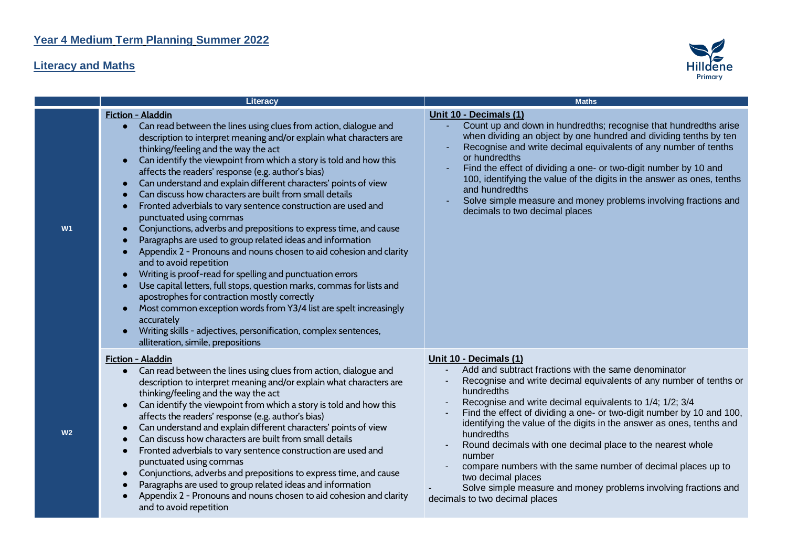## **Literacy and Maths**



|                | Literacy                                                                                                                                                                                                                                                                                                                                                                                                                                                                                                                                                                                                                                                                                                                                                                                                                                                                                                                                                                                                                                                                                                                                                                                       | <b>Maths</b>                                                                                                                                                                                                                                                                                                                                                                                                                                                                                                                                                                                                                                                      |
|----------------|------------------------------------------------------------------------------------------------------------------------------------------------------------------------------------------------------------------------------------------------------------------------------------------------------------------------------------------------------------------------------------------------------------------------------------------------------------------------------------------------------------------------------------------------------------------------------------------------------------------------------------------------------------------------------------------------------------------------------------------------------------------------------------------------------------------------------------------------------------------------------------------------------------------------------------------------------------------------------------------------------------------------------------------------------------------------------------------------------------------------------------------------------------------------------------------------|-------------------------------------------------------------------------------------------------------------------------------------------------------------------------------------------------------------------------------------------------------------------------------------------------------------------------------------------------------------------------------------------------------------------------------------------------------------------------------------------------------------------------------------------------------------------------------------------------------------------------------------------------------------------|
| W <sub>1</sub> | Fiction - Aladdin<br>Can read between the lines using clues from action, dialogue and<br>$\bullet$<br>description to interpret meaning and/or explain what characters are<br>thinking/feeling and the way the act<br>Can identify the viewpoint from which a story is told and how this<br>affects the readers' response (e.g. author's bias)<br>Can understand and explain different characters' points of view<br>Can discuss how characters are built from small details<br>Fronted adverbials to vary sentence construction are used and<br>punctuated using commas<br>Conjunctions, adverbs and prepositions to express time, and cause<br>Paragraphs are used to group related ideas and information<br>Appendix 2 - Pronouns and nouns chosen to aid cohesion and clarity<br>and to avoid repetition<br>Writing is proof-read for spelling and punctuation errors<br>Use capital letters, full stops, question marks, commas for lists and<br>apostrophes for contraction mostly correctly<br>Most common exception words from Y3/4 list are spelt increasingly<br>accurately<br>Writing skills - adjectives, personification, complex sentences,<br>alliteration, simile, prepositions | Unit 10 - Decimals (1)<br>Count up and down in hundredths; recognise that hundredths arise<br>when dividing an object by one hundred and dividing tenths by ten<br>Recognise and write decimal equivalents of any number of tenths<br>or hundredths<br>Find the effect of dividing a one- or two-digit number by 10 and<br>100, identifying the value of the digits in the answer as ones, tenths<br>and hundredths<br>Solve simple measure and money problems involving fractions and<br>decimals to two decimal places                                                                                                                                          |
| W <sub>2</sub> | Fiction - Aladdin<br>Can read between the lines using clues from action, dialogue and<br>description to interpret meaning and/or explain what characters are<br>thinking/feeling and the way the act<br>Can identify the viewpoint from which a story is told and how this<br>affects the readers' response (e.g. author's bias)<br>Can understand and explain different characters' points of view<br>Can discuss how characters are built from small details<br>Fronted adverbials to vary sentence construction are used and<br>punctuated using commas<br>Conjunctions, adverbs and prepositions to express time, and cause<br>Paragraphs are used to group related ideas and information<br>Appendix 2 - Pronouns and nouns chosen to aid cohesion and clarity<br>and to avoid repetition                                                                                                                                                                                                                                                                                                                                                                                                 | Unit 10 - Decimals (1)<br>Add and subtract fractions with the same denominator<br>Recognise and write decimal equivalents of any number of tenths or<br>hundredths<br>Recognise and write decimal equivalents to 1/4; 1/2; 3/4<br>Find the effect of dividing a one- or two-digit number by 10 and 100,<br>identifying the value of the digits in the answer as ones, tenths and<br>hundredths<br>Round decimals with one decimal place to the nearest whole<br>number<br>compare numbers with the same number of decimal places up to<br>two decimal places<br>Solve simple measure and money problems involving fractions and<br>decimals to two decimal places |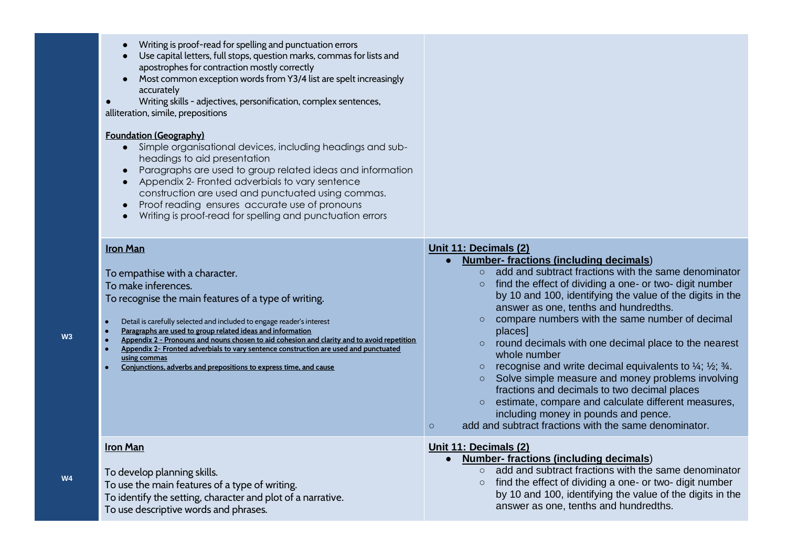| Writing is proof-read for spelling and punctuation errors<br>$\bullet$<br>Use capital letters, full stops, question marks, commas for lists and<br>apostrophes for contraction mostly correctly<br>Most common exception words from Y3/4 list are spelt increasingly<br>$\bullet$<br>accurately<br>Writing skills - adjectives, personification, complex sentences,<br>alliteration, simile, prepositions<br><b>Foundation (Geography)</b><br>Simple organisational devices, including headings and sub-<br>$\bullet$<br>headings to aid presentation<br>Paragraphs are used to group related ideas and information<br>$\bullet$<br>Appendix 2- Fronted adverbials to vary sentence<br>$\bullet$<br>construction are used and punctuated using commas.<br>Proof reading ensures accurate use of pronouns<br>$\bullet$<br>Writing is proof-read for spelling and punctuation errors<br>$\bullet$ |                                                                                                                                                                                                                                                                                                                                                                                                                                                                                                                                                                                                                                                                                                                                                                                                                                                                              |
|-------------------------------------------------------------------------------------------------------------------------------------------------------------------------------------------------------------------------------------------------------------------------------------------------------------------------------------------------------------------------------------------------------------------------------------------------------------------------------------------------------------------------------------------------------------------------------------------------------------------------------------------------------------------------------------------------------------------------------------------------------------------------------------------------------------------------------------------------------------------------------------------------|------------------------------------------------------------------------------------------------------------------------------------------------------------------------------------------------------------------------------------------------------------------------------------------------------------------------------------------------------------------------------------------------------------------------------------------------------------------------------------------------------------------------------------------------------------------------------------------------------------------------------------------------------------------------------------------------------------------------------------------------------------------------------------------------------------------------------------------------------------------------------|
| <b>Iron Man</b><br>To empathise with a character.<br>To make inferences.<br>To recognise the main features of a type of writing.<br>Detail is carefully selected and included to engage reader's interest<br>Paragraphs are used to group related ideas and information<br>Appendix 2 - Pronouns and nouns chosen to aid cohesion and clarity and to avoid repetition<br>Appendix 2- Fronted adverbials to vary sentence construction are used and punctuated<br>using commas<br>Conjunctions, adverbs and prepositions to express time, and cause                                                                                                                                                                                                                                                                                                                                              | Unit 11: Decimals (2)<br><b>Number-fractions (including decimals)</b><br>add and subtract fractions with the same denominator<br>find the effect of dividing a one- or two- digit number<br>$\circ$<br>by 10 and 100, identifying the value of the digits in the<br>answer as one, tenths and hundredths.<br>compare numbers with the same number of decimal<br>$\circ$<br>places]<br>round decimals with one decimal place to the nearest<br>$\circ$<br>whole number<br>recognise and write decimal equivalents to $\frac{1}{4}$ ; $\frac{1}{2}$ ; $\frac{3}{4}$ .<br>$\circ$<br>Solve simple measure and money problems involving<br>$\circ$<br>fractions and decimals to two decimal places<br>estimate, compare and calculate different measures,<br>$\circ$<br>including money in pounds and pence.<br>add and subtract fractions with the same denominator.<br>$\circ$ |
| <b>Iron Man</b><br>To develop planning skills.<br>To use the main features of a type of writing.<br>To identify the setting, character and plot of a narrative.<br>To use descriptive words and phrases.                                                                                                                                                                                                                                                                                                                                                                                                                                                                                                                                                                                                                                                                                        | Unit 11: Decimals (2)<br><b>Number-fractions (including decimals)</b><br>$\circ$ add and subtract fractions with the same denominator<br>find the effect of dividing a one- or two- digit number<br>$\circ$<br>by 10 and 100, identifying the value of the digits in the<br>answer as one, tenths and hundredths.                                                                                                                                                                                                                                                                                                                                                                                                                                                                                                                                                            |

**W3**

**W4**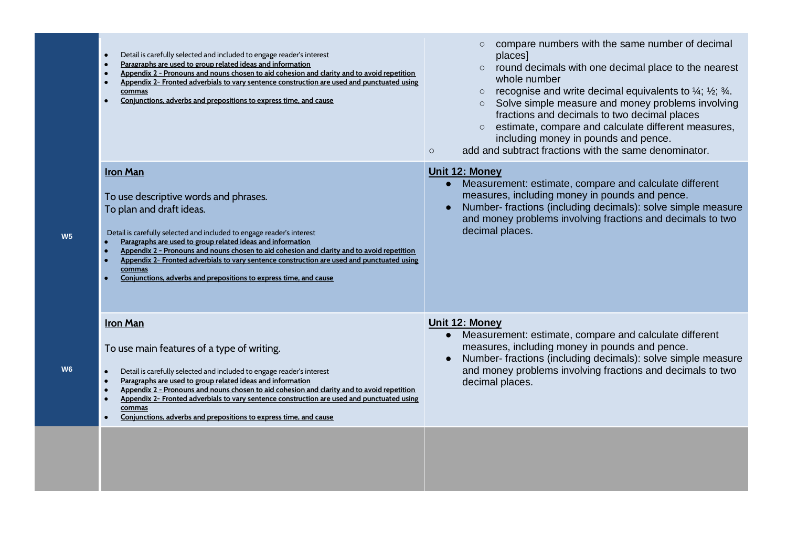|                | Detail is carefully selected and included to engage reader's interest<br>Paragraphs are used to group related ideas and information<br>$\bullet$<br>Appendix 2 - Pronouns and nouns chosen to aid cohesion and clarity and to avoid repetition<br>Appendix 2- Fronted adverbials to vary sentence construction are used and punctuated using<br>$\bullet$<br>commas<br>Conjunctions, adverbs and prepositions to express time, and cause                                                                                            | compare numbers with the same number of decimal<br>places]<br>round decimals with one decimal place to the nearest<br>whole number<br>recognise and write decimal equivalents to $\frac{1}{4}$ ; $\frac{1}{2}$ ; $\frac{3}{4}$ .<br>$\circ$<br>Solve simple measure and money problems involving<br>fractions and decimals to two decimal places<br>estimate, compare and calculate different measures,<br>including money in pounds and pence.<br>add and subtract fractions with the same denominator.<br>$\circ$ |
|----------------|-------------------------------------------------------------------------------------------------------------------------------------------------------------------------------------------------------------------------------------------------------------------------------------------------------------------------------------------------------------------------------------------------------------------------------------------------------------------------------------------------------------------------------------|---------------------------------------------------------------------------------------------------------------------------------------------------------------------------------------------------------------------------------------------------------------------------------------------------------------------------------------------------------------------------------------------------------------------------------------------------------------------------------------------------------------------|
| W <sub>5</sub> | <b>Iron Man</b><br>To use descriptive words and phrases.<br>To plan and draft ideas.<br>Detail is carefully selected and included to engage reader's interest<br>Paragraphs are used to group related ideas and information<br>Appendix 2 - Pronouns and nouns chosen to aid cohesion and clarity and to avoid repetition<br>Appendix 2- Fronted adverbials to vary sentence construction are used and punctuated using<br>commas<br>Conjunctions, adverbs and prepositions to express time, and cause                              | Unit 12: Money<br>Measurement: estimate, compare and calculate different<br>measures, including money in pounds and pence.<br>Number- fractions (including decimals): solve simple measure<br>and money problems involving fractions and decimals to two<br>decimal places.                                                                                                                                                                                                                                         |
| W <sub>6</sub> | <b>Iron Man</b><br>To use main features of a type of writing.<br>Detail is carefully selected and included to engage reader's interest<br>$\bullet$<br>Paragraphs are used to group related ideas and information<br>$\bullet$<br>$\bullet$<br>Appendix 2 - Pronouns and nouns chosen to aid cohesion and clarity and to avoid repetition<br>Appendix 2- Fronted adverbials to vary sentence construction are used and punctuated using<br>$\bullet$<br>commas<br>Conjunctions, adverbs and prepositions to express time, and cause | Unit 12: Money<br>Measurement: estimate, compare and calculate different<br>$\bullet$<br>measures, including money in pounds and pence.<br>Number- fractions (including decimals): solve simple measure<br>and money problems involving fractions and decimals to two<br>decimal places.                                                                                                                                                                                                                            |
|                |                                                                                                                                                                                                                                                                                                                                                                                                                                                                                                                                     |                                                                                                                                                                                                                                                                                                                                                                                                                                                                                                                     |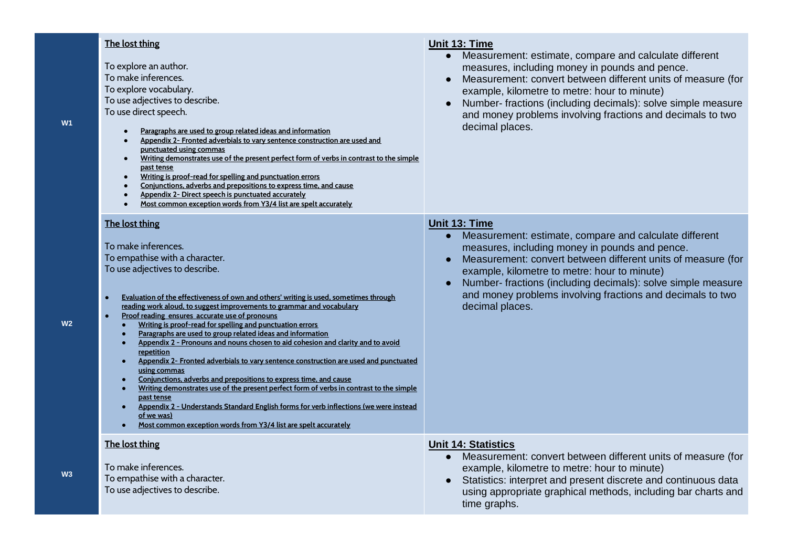| W1             | The lost thing<br>To explore an author.<br>To make inferences.<br>To explore vocabulary.<br>To use adjectives to describe.<br>To use direct speech.<br>Paragraphs are used to group related ideas and information<br>Appendix 2- Fronted adverbials to vary sentence construction are used and<br>punctuated using commas<br>Writing demonstrates use of the present perfect form of verbs in contrast to the simple<br>$\bullet$<br>past tense<br>Writing is proof-read for spelling and punctuation errors<br>Conjunctions, adverbs and prepositions to express time, and cause<br>Appendix 2- Direct speech is punctuated accurately<br>Most common exception words from Y3/4 list are spelt accurately                                                                                                                                                                                                                                                                                                                                                                                                                                     | Unit 13: Time<br>Measurement: estimate, compare and calculate different<br>$\bullet$<br>measures, including money in pounds and pence.<br>Measurement: convert between different units of measure (for<br>$\bullet$<br>example, kilometre to metre: hour to minute)<br>Number- fractions (including decimals): solve simple measure<br>and money problems involving fractions and decimals to two<br>decimal places. |
|----------------|------------------------------------------------------------------------------------------------------------------------------------------------------------------------------------------------------------------------------------------------------------------------------------------------------------------------------------------------------------------------------------------------------------------------------------------------------------------------------------------------------------------------------------------------------------------------------------------------------------------------------------------------------------------------------------------------------------------------------------------------------------------------------------------------------------------------------------------------------------------------------------------------------------------------------------------------------------------------------------------------------------------------------------------------------------------------------------------------------------------------------------------------|----------------------------------------------------------------------------------------------------------------------------------------------------------------------------------------------------------------------------------------------------------------------------------------------------------------------------------------------------------------------------------------------------------------------|
| W <sub>2</sub> | The lost thing<br>To make inferences.<br>To empathise with a character.<br>To use adjectives to describe.<br>Evaluation of the effectiveness of own and others' writing is used, sometimes through<br>$\bullet$<br>reading work aloud, to suggest improvements to grammar and vocabulary<br>Proof reading ensures accurate use of pronouns<br>$\bullet$<br>Writing is proof-read for spelling and punctuation errors<br>$\bullet$<br>Paragraphs are used to group related ideas and information<br>$\bullet$<br>Appendix 2 - Pronouns and nouns chosen to aid cohesion and clarity and to avoid<br>$\bullet$<br>repetition<br>Appendix 2- Fronted adverbials to vary sentence construction are used and punctuated<br>$\bullet$<br>using commas<br>Conjunctions, adverbs and prepositions to express time, and cause<br>$\bullet$<br>Writing demonstrates use of the present perfect form of verbs in contrast to the simple<br>$\bullet$<br>past tense<br>Appendix 2 - Understands Standard English forms for verb inflections (we were instead<br>$\bullet$<br>of we was)<br>Most common exception words from Y3/4 list are spelt accurately | Unit 13: Time<br>Measurement: estimate, compare and calculate different<br>$\bullet$<br>measures, including money in pounds and pence.<br>Measurement: convert between different units of measure (for<br>example, kilometre to metre: hour to minute)<br>Number- fractions (including decimals): solve simple measure<br>and money problems involving fractions and decimals to two<br>decimal places.              |
| W <sub>3</sub> | The lost thing<br>To make inferences.<br>To empathise with a character.<br>To use adjectives to describe.                                                                                                                                                                                                                                                                                                                                                                                                                                                                                                                                                                                                                                                                                                                                                                                                                                                                                                                                                                                                                                      | <b>Unit 14: Statistics</b><br>Measurement: convert between different units of measure (for<br>example, kilometre to metre: hour to minute)<br>Statistics: interpret and present discrete and continuous data<br>using appropriate graphical methods, including bar charts and<br>time graphs.                                                                                                                        |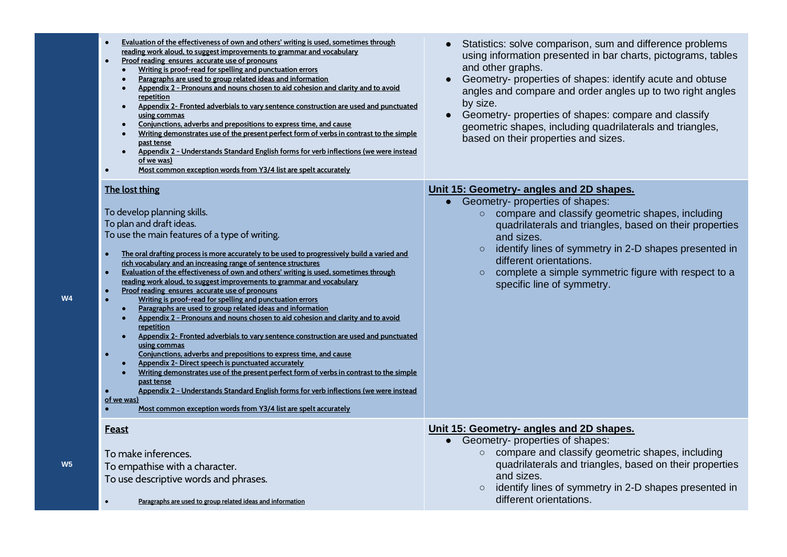| Evaluation of the effectiveness of own and others' writing is used, sometimes through<br>reading work aloud, to suggest improvements to grammar and vocabulary<br>Proof reading ensures accurate use of pronouns<br>Writing is proof-read for spelling and punctuation errors<br>Paragraphs are used to group related ideas and information<br>Appendix 2 - Pronouns and nouns chosen to aid cohesion and clarity and to avoid<br>repetition<br>Appendix 2- Fronted adverbials to vary sentence construction are used and punctuated<br>$\bullet$<br>using commas<br>Conjunctions, adverbs and prepositions to express time, and cause<br>Writing demonstrates use of the present perfect form of verbs in contrast to the simple<br>past tense<br>Appendix 2 - Understands Standard English forms for verb inflections (we were instead<br>of we was)<br>Most common exception words from Y3/4 list are spelt accurately                                                                                                                                                                                                                                                                                                                                                  | Statistics: solve comparison, sum and difference problems<br>using information presented in bar charts, pictograms, tables<br>and other graphs.<br>Geometry- properties of shapes: identify acute and obtuse<br>angles and compare and order angles up to two right angles<br>by size.<br>Geometry- properties of shapes: compare and classify<br>geometric shapes, including quadrilaterals and triangles,<br>based on their properties and sizes. |
|----------------------------------------------------------------------------------------------------------------------------------------------------------------------------------------------------------------------------------------------------------------------------------------------------------------------------------------------------------------------------------------------------------------------------------------------------------------------------------------------------------------------------------------------------------------------------------------------------------------------------------------------------------------------------------------------------------------------------------------------------------------------------------------------------------------------------------------------------------------------------------------------------------------------------------------------------------------------------------------------------------------------------------------------------------------------------------------------------------------------------------------------------------------------------------------------------------------------------------------------------------------------------|-----------------------------------------------------------------------------------------------------------------------------------------------------------------------------------------------------------------------------------------------------------------------------------------------------------------------------------------------------------------------------------------------------------------------------------------------------|
| The lost thing<br>To develop planning skills.<br>To plan and draft ideas.<br>To use the main features of a type of writing.<br>The oral drafting process is more accurately to be used to progressively build a varied and<br>rich vocabulary and an increasing range of sentence structures<br>Evaluation of the effectiveness of own and others' writing is used, sometimes through<br>reading work aloud, to suggest improvements to grammar and vocabulary<br>Proof reading ensures accurate use of pronouns<br>Writing is proof-read for spelling and punctuation errors<br>Paragraphs are used to group related ideas and information<br>Appendix 2 - Pronouns and nouns chosen to aid cohesion and clarity and to avoid<br>repetition<br>Appendix 2- Fronted adverbials to vary sentence construction are used and punctuated<br>using commas<br>Conjunctions, adverbs and prepositions to express time, and cause<br>Appendix 2- Direct speech is punctuated accurately<br>Writing demonstrates use of the present perfect form of verbs in contrast to the simple<br>past tense<br><u> Appendix 2 - Understands Standard English forms for verb inflections (we were instead</u><br>of we was)<br>Most common exception words from Y3/4 list are spelt accurately | Unit 15: Geometry- angles and 2D shapes.<br>• Geometry- properties of shapes:<br>compare and classify geometric shapes, including<br>$\circ$<br>quadrilaterals and triangles, based on their properties<br>and sizes.<br>identify lines of symmetry in 2-D shapes presented in<br>$\circ$<br>different orientations.<br>complete a simple symmetric figure with respect to a<br>$\circ$<br>specific line of symmetry.                               |
| Feast<br>To make inferences.<br>To empathise with a character.<br>To use descriptive words and phrases.<br>Paragraphs are used to group related ideas and information                                                                                                                                                                                                                                                                                                                                                                                                                                                                                                                                                                                                                                                                                                                                                                                                                                                                                                                                                                                                                                                                                                      | Unit 15: Geometry- angles and 2D shapes.<br>Geometry- properties of shapes:<br>$\bullet$<br>o compare and classify geometric shapes, including<br>quadrilaterals and triangles, based on their properties<br>and sizes.<br>identify lines of symmetry in 2-D shapes presented in<br>$\circ$<br>different orientations.                                                                                                                              |

**W4**

**W5**